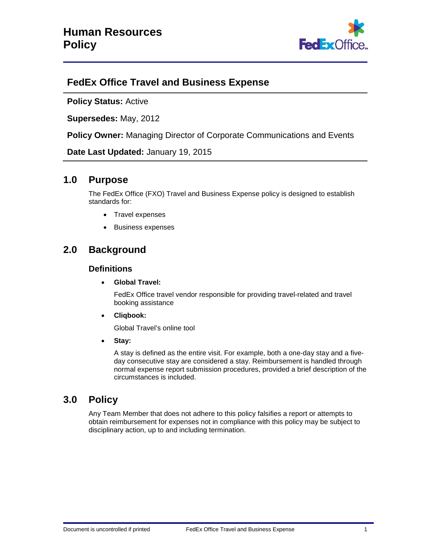

# **FedEx Office Travel and Business Expense**

**Policy Status:** Active

**Supersedes:** May, 2012

**Policy Owner:** Managing Director of Corporate Communications and Events

**Date Last Updated:** January 19, 2015

# **1.0 Purpose**

The FedEx Office (FXO) Travel and Business Expense policy is designed to establish standards for:

- Travel expenses
- Business expenses

# **2.0 Background**

## **Definitions**

• **Global Travel:**

FedEx Office travel vendor responsible for providing travel-related and travel booking assistance

• **Cliqbook:**

Global Travel's online tool

• **Stay:**

A stay is defined as the entire visit. For example, both a one-day stay and a fiveday consecutive stay are considered a stay. Reimbursement is handled through normal expense report submission procedures, provided a brief description of the circumstances is included.

# **3.0 Policy**

Any Team Member that does not adhere to this policy falsifies a report or attempts to obtain reimbursement for expenses not in compliance with this policy may be subject to disciplinary action, up to and including termination.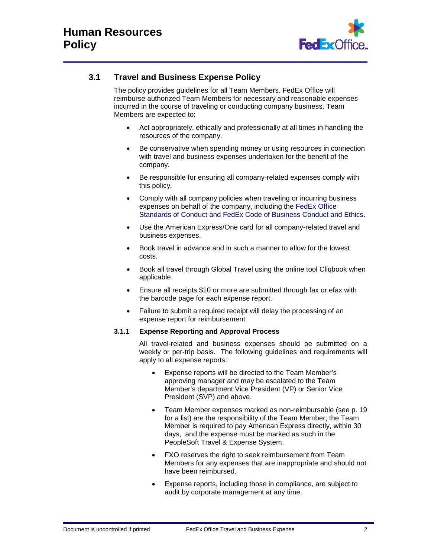

# **3.1 Travel and Business Expense Policy**

The policy provides guidelines for all Team Members. FedEx Office will reimburse authorized Team Members for necessary and reasonable expenses incurred in the course of traveling or conducting company business. Team Members are expected to:

- Act appropriately, ethically and professionally at all times in handling the resources of the company.
- Be conservative when spending money or using resources in connection with travel and business expenses undertaken for the benefit of the company.
- Be responsible for ensuring all company-related expenses comply with this policy.
- Comply with all company policies when traveling or incurring business expenses on behalf of the company, including the [FedEx Office](https://fxkportal.corp.kinkos.com/Pages/Default.aspx)  [Standards of Conduct and FedEx Code of Business Conduct and Ethics.](https://fxkportal.corp.kinkos.com/Pages/Default.aspx)
- Use the American Express/One card for all company-related travel and business expenses.
- Book travel in advance and in such a manner to allow for the lowest costs.
- Book all travel through Global Travel using the online tool Cliqbook when applicable.
- Ensure all receipts \$10 or more are submitted through fax or efax with the barcode page for each expense report.
- Failure to submit a required receipt will delay the processing of an expense report for reimbursement.

## **3.1.1 Expense Reporting and Approval Process**

All travel-related and business expenses should be submitted on a weekly or per-trip basis. The following guidelines and requirements will apply to all expense reports:

- Expense reports will be directed to the Team Member's approving manager and may be escalated to the Team Member's department Vice President (VP) or Senior Vice President (SVP) and above.
- Team Member expenses marked as non-reimbursable (see p. 19 for a list) are the responsibility of the Team Member; the Team Member is required to pay American Express directly, within 30 days, and the expense must be marked as such in the PeopleSoft Travel & Expense System.
- FXO reserves the right to seek reimbursement from Team Members for any expenses that are inappropriate and should not have been reimbursed.
- Expense reports, including those in compliance, are subject to audit by corporate management at any time.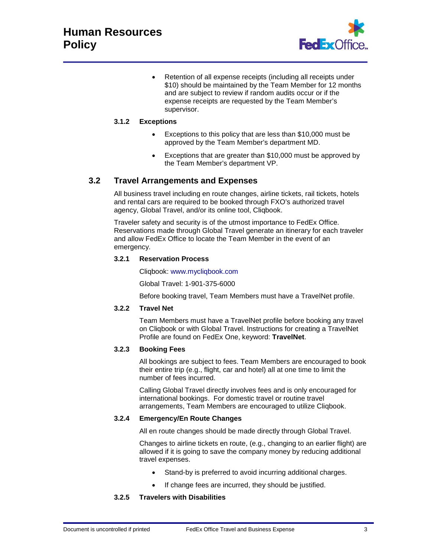

Retention of all expense receipts (including all receipts under \$10) should be maintained by the Team Member for 12 months and are subject to review if random audits occur or if the expense receipts are requested by the Team Member's supervisor.

## **3.1.2 Exceptions**

- Exceptions to this policy that are less than \$10,000 must be approved by the Team Member's department MD.
- Exceptions that are greater than \$10,000 must be approved by the Team Member's department VP.

## **3.2 Travel Arrangements and Expenses**

All business travel including en route changes, airline tickets, rail tickets, hotels and rental cars are required to be booked through FXO's authorized travel agency, Global Travel, and/or its online tool, Cliqbook.

Traveler safety and security is of the utmost importance to FedEx Office. Reservations made through Global Travel generate an itinerary for each traveler and allow FedEx Office to locate the Team Member in the event of an emergency.

#### **3.2.1 Reservation Process**

Cliqbook: [www.mycliqbook.com](http://www.mycliqbook.com/)

Global Travel: 1-901-375-6000

Before booking travel, Team Members must have a TravelNet profile.

## **3.2.2 Travel Net**

Team Members must have a TravelNet profile before booking any travel on Cliqbook or with Global Travel. Instructions for creating a TravelNet Profile are found on FedEx One, keyword: **TravelNet**.

## **3.2.3 Booking Fees**

All bookings are subject to fees. Team Members are encouraged to book their entire trip (e.g., flight, car and hotel) all at one time to limit the number of fees incurred.

Calling Global Travel directly involves fees and is only encouraged for international bookings. For domestic travel or routine travel arrangements, Team Members are encouraged to utilize Cliqbook.

#### **3.2.4 Emergency/En Route Changes**

All en route changes should be made directly through Global Travel.

Changes to airline tickets en route, (e.g., changing to an earlier flight) are allowed if it is going to save the company money by reducing additional travel expenses.

- Stand-by is preferred to avoid incurring additional charges.
- If change fees are incurred, they should be justified.

## **3.2.5 Travelers with Disabilities**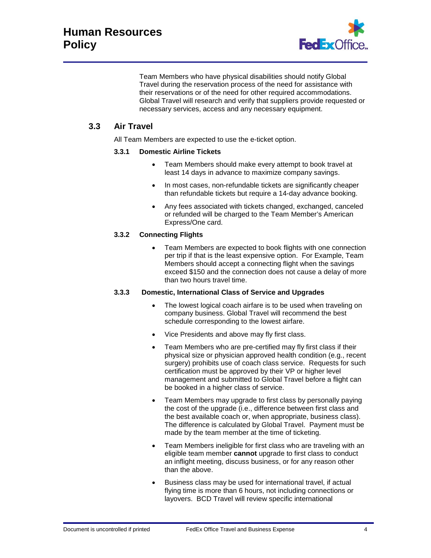

Team Members who have physical disabilities should notify Global Travel during the reservation process of the need for assistance with their reservations or of the need for other required accommodations. Global Travel will research and verify that suppliers provide requested or necessary services, access and any necessary equipment.

## **3.3 Air Travel**

All Team Members are expected to use the e-ticket option.

## **3.3.1 Domestic Airline Tickets**

- Team Members should make every attempt to book travel at least 14 days in advance to maximize company savings.
- In most cases, non-refundable tickets are significantly cheaper than refundable tickets but require a 14-day advance booking.
- Any fees associated with tickets changed, exchanged, canceled or refunded will be charged to the Team Member's American Express/One card.

## **3.3.2 Connecting Flights**

• Team Members are expected to book flights with one connection per trip if that is the least expensive option. For Example, Team Members should accept a connecting flight when the savings exceed \$150 and the connection does not cause a delay of more than two hours travel time.

## **3.3.3 Domestic, International Class of Service and Upgrades**

- The lowest logical coach airfare is to be used when traveling on company business. Global Travel will recommend the best schedule corresponding to the lowest airfare.
- Vice Presidents and above may fly first class.
- Team Members who are pre-certified may fly first class if their physical size or physician approved health condition (e.g., recent surgery) prohibits use of coach class service. Requests for such certification must be approved by their VP or higher level management and submitted to Global Travel before a flight can be booked in a higher class of service.
- Team Members may upgrade to first class by personally paying the cost of the upgrade (i.e., difference between first class and the best available coach or, when appropriate, business class). The difference is calculated by Global Travel. Payment must be made by the team member at the time of ticketing.
- Team Members ineligible for first class who are traveling with an eligible team member **cannot** upgrade to first class to conduct an inflight meeting, discuss business, or for any reason other than the above.
- Business class may be used for international travel, if actual flying time is more than 6 hours, not including connections or layovers. BCD Travel will review specific international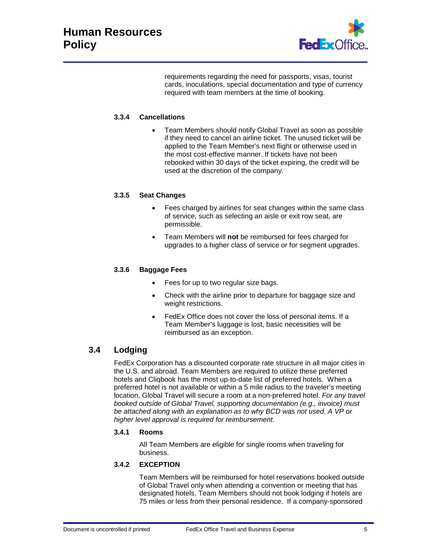

requirements regarding the need for passports, visas, tourist cards, inoculations, special documentation and type of currency required with team members at the time of booking.

## **3.3.4 Cancellations**

• Team Members should notify Global Travel as soon as possible if they need to cancel an airline ticket. The unused ticket will be applied to the Team Member's next flight or otherwise used in the most cost-effective manner. If tickets have not been rebooked within 30 days of the ticket expiring, the credit will be used at the discretion of the company.

## **3.3.5 Seat Changes**

- Fees charged by airlines for seat changes within the same class of service, such as selecting an aisle or exit row seat, are permissible.
- Team Members will **not** be reimbursed for fees charged for upgrades to a higher class of service or for segment upgrades.

## **3.3.6 Baggage Fees**

- Fees for up to two regular size bags.
- Check with the airline prior to departure for baggage size and weight restrictions.
- FedEx Office does not cover the loss of personal items. If a Team Member's luggage is lost, basic necessities will be reimbursed as an exception.

## **3.4 Lodging**

FedEx Corporation has a discounted corporate rate structure in all major cities in the U.S. and abroad. Team Members are required to utilize these preferred hotels and Cliqbook has the most up-to-date list of preferred hotels. When a preferred hotel is not available or within a 5 mile radius to the traveler's meeting location, Global Travel will secure a room at a non-preferred hotel. *For any travel booked outside of Global Travel, supporting documentation (e.g., invoice) must be attached along with an explanation as to why BCD was not used. A VP or higher level approval is required for reimbursement.*

#### **3.4.1 Rooms**

All Team Members are eligible for single rooms when traveling for business.

## **3.4.2 EXCEPTION**

Team Members will be reimbursed for hotel reservations booked outside of Global Travel only when attending a convention or meeting that has designated hotels. Team Members should not book lodging if hotels are 75 miles or less from their personal residence. If a company-sponsored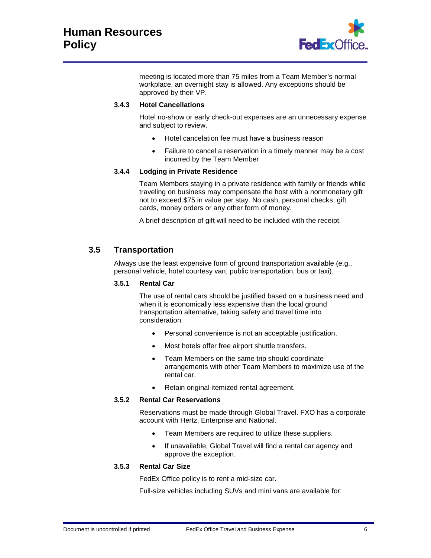

meeting is located more than 75 miles from a Team Member's normal workplace, an overnight stay is allowed. Any exceptions should be approved by their VP.

## **3.4.3 Hotel Cancellations**

Hotel no-show or early check-out expenses are an unnecessary expense and subject to review.

- Hotel cancelation fee must have a business reason
- Failure to cancel a reservation in a timely manner may be a cost incurred by the Team Member

## **3.4.4 Lodging in Private Residence**

Team Members staying in a private residence with family or friends while traveling on business may compensate the host with a nonmonetary gift not to exceed \$75 in value per stay. No cash, personal checks, gift cards, money orders or any other form of money.

A brief description of gift will need to be included with the receipt.

## **3.5 Transportation**

Always use the least expensive form of ground transportation available (e.g., personal vehicle, hotel courtesy van, public transportation, bus or taxi).

#### **3.5.1 Rental Car**

The use of rental cars should be justified based on a business need and when it is economically less expensive than the local ground transportation alternative, taking safety and travel time into consideration.

- Personal convenience is not an acceptable justification.
- Most hotels offer free airport shuttle transfers.
- Team Members on the same trip should coordinate arrangements with other Team Members to maximize use of the rental car.
- Retain original itemized rental agreement.

## **3.5.2 Rental Car Reservations**

Reservations must be made through Global Travel. FXO has a corporate account with Hertz, Enterprise and National.

- Team Members are required to utilize these suppliers.
- If unavailable, Global Travel will find a rental car agency and approve the exception.

## **3.5.3 Rental Car Size**

FedEx Office policy is to rent a mid-size car.

Full-size vehicles including SUVs and mini vans are available for: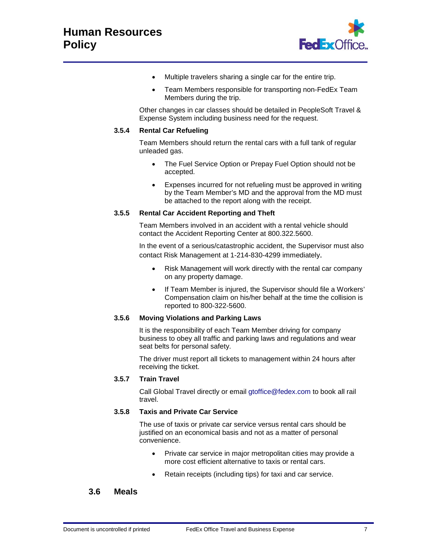

- Multiple travelers sharing a single car for the entire trip.
- Team Members responsible for transporting non-FedEx Team Members during the trip.

Other changes in car classes should be detailed in PeopleSoft Travel & Expense System including business need for the request.

#### **3.5.4 Rental Car Refueling**

Team Members should return the rental cars with a full tank of regular unleaded gas.

- The Fuel Service Option or Prepay Fuel Option should not be accepted.
- Expenses incurred for not refueling must be approved in writing by the Team Member's MD and the approval from the MD must be attached to the report along with the receipt.

#### **3.5.5 Rental Car Accident Reporting and Theft**

Team Members involved in an accident with a rental vehicle should contact the Accident Reporting Center at 800.322.5600.

In the event of a serious/catastrophic accident, the Supervisor must also contact Risk Management at 1-214-830-4299 immediately.

- Risk Management will work directly with the rental car company on any property damage.
- If Team Member is injured, the Supervisor should file a Workers' Compensation claim on his/her behalf at the time the collision is reported to 800-322-5600.

#### **3.5.6 Moving Violations and Parking Laws**

It is the responsibility of each Team Member driving for company business to obey all traffic and parking laws and regulations and wear seat belts for personal safety.

The driver must report all tickets to management within 24 hours after receiving the ticket.

#### **3.5.7 Train Travel**

Call Global Travel directly or email [gtoffice@fedex.com](mailto:gtoffice@fedex.com) to book all rail travel.

## **3.5.8 Taxis and Private Car Service**

The use of taxis or private car service versus rental cars should be justified on an economical basis and not as a matter of personal convenience.

- Private car service in major metropolitan cities may provide a more cost efficient alternative to taxis or rental cars.
- Retain receipts (including tips) for taxi and car service.

## **3.6 Meals**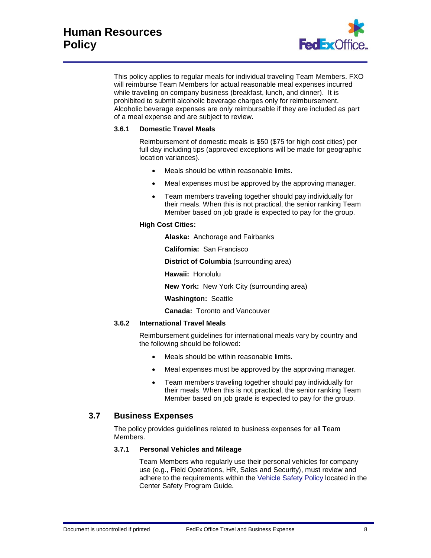

This policy applies to regular meals for individual traveling Team Members. FXO will reimburse Team Members for actual reasonable meal expenses incurred while traveling on company business (breakfast, lunch, and dinner). It is prohibited to submit alcoholic beverage charges only for reimbursement. Alcoholic beverage expenses are only reimbursable if they are included as part of a meal expense and are subject to review.

#### **3.6.1 Domestic Travel Meals**

Reimbursement of domestic meals is \$50 (\$75 for high cost cities) per full day including tips (approved exceptions will be made for geographic location variances).

- Meals should be within reasonable limits.
- Meal expenses must be approved by the approving manager.
- Team members traveling together should pay individually for their meals. When this is not practical, the senior ranking Team Member based on job grade is expected to pay for the group.

## **High Cost Cities:**

**Alaska:** Anchorage and Fairbanks

**California:** San Francisco

**District of Columbia** (surrounding area)

**Hawaii:** Honolulu

**New York:** New York City (surrounding area)

**Washington:** Seattle

**Canada:** Toronto and Vancouver

#### **3.6.2 International Travel Meals**

Reimbursement guidelines for international meals vary by country and the following should be followed:

- Meals should be within reasonable limits.
- Meal expenses must be approved by the approving manager.
- Team members traveling together should pay individually for their meals. When this is not practical, the senior ranking Team Member based on job grade is expected to pay for the group.

## **3.7 Business Expenses**

The policy provides guidelines related to business expenses for all Team Members.

## **3.7.1 Personal Vehicles and Mileage**

Team Members who regularly use their personal vehicles for company use (e.g., Field Operations, HR, Sales and Security), must review and adhere to the requirements within the [Vehicle Safety Policy](https://fxkportal.corp.kinkos.com/documentcenter/Operations/Safety/FXO%20Company%20Owned%20Vehicle%20Safety%20Policy.pdf) located in the Center Safety Program Guide.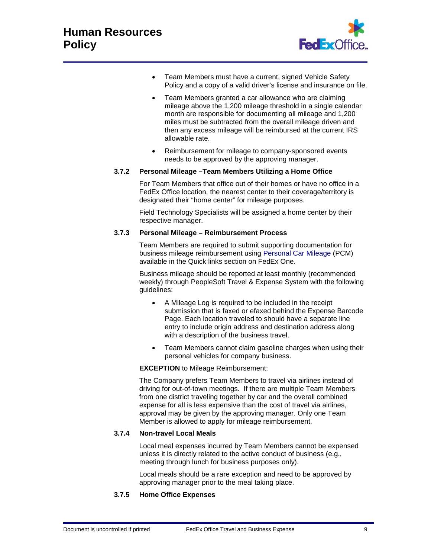

- Team Members must have a current, signed Vehicle Safety Policy and a copy of a valid driver's license and insurance on file.
- Team Members granted a car allowance who are claiming mileage above the 1,200 mileage threshold in a single calendar month are responsible for documenting all mileage and 1,200 miles must be subtracted from the overall mileage driven and then any excess mileage will be reimbursed at the current IRS allowable rate.
- Reimbursement for mileage to company-sponsored events needs to be approved by the approving manager.

## **3.7.2 Personal Mileage –Team Members Utilizing a Home Office**

For Team Members that office out of their homes or have no office in a FedEx Office location, the nearest center to their coverage/territory is designated their "home center" for mileage purposes.

Field Technology Specialists will be assigned a home center by their respective manager.

#### **3.7.3 Personal Mileage – Reimbursement Process**

Team Members are required to submit supporting documentation for business mileage reimbursement using [Personal Car Mileage](https://fxkportal.corp.kinkos.com/documentcenter/Finance/GATER/Company%20Mileage%20Procedure%20Sheet_03%2012%2012.pdf) (PCM) available in the Quick links section on FedEx One.

Business mileage should be reported at least monthly (recommended weekly) through PeopleSoft Travel & Expense System with the following guidelines:

- A Mileage Log is required to be included in the receipt submission that is faxed or efaxed behind the Expense Barcode Page. Each location traveled to should have a separate line entry to include origin address and destination address along with a description of the business travel.
- Team Members cannot claim gasoline charges when using their personal vehicles for company business.

## **EXCEPTION** to Mileage Reimbursement:

The Company prefers Team Members to travel via airlines instead of driving for out-of-town meetings. If there are multiple Team Members from one district traveling together by car and the overall combined expense for all is less expensive than the cost of travel via airlines, approval may be given by the approving manager. Only one Team Member is allowed to apply for mileage reimbursement.

## **3.7.4 Non-travel Local Meals**

Local meal expenses incurred by Team Members cannot be expensed unless it is directly related to the active conduct of business (e.g., meeting through lunch for business purposes only).

Local meals should be a rare exception and need to be approved by approving manager prior to the meal taking place.

## **3.7.5 Home Office Expenses**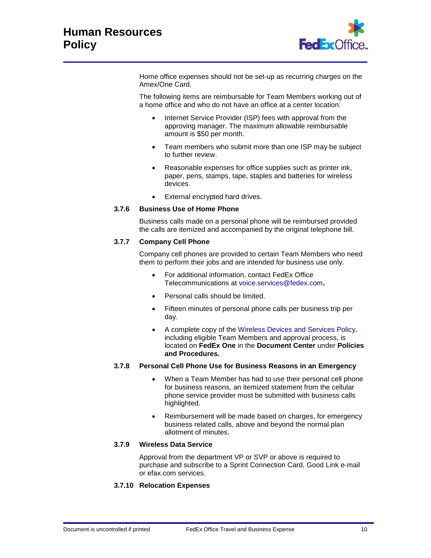

Home office expenses should not be set-up as recurring charges on the Amex/One Card.

The following items are reimbursable for Team Members working out of a home office and who do not have an office at a center location:

- Internet Service Provider (ISP) fees with approval from the approving manager. The maximum allowable reimbursable amount is \$50 per month.
- Team members who submit more than one ISP may be subject to further review.
- Reasonable expenses for office supplies such as printer ink, paper, pens, stamps, tape, staples and batteries for wireless devices.
- External encrypted hard drives.

## **3.7.6 Business Use of Home Phone**

Business calls made on a personal phone will be reimbursed provided the calls are itemized and accompanied by the original telephone bill.

## **3.7.7 Company Cell Phone**

Company cell phones are provided to certain Team Members who need them to perform their jobs and are intended for business use only.

- For additional information, contact FedEx Office Telecommunications at [voice.services@fedex.com](mailto:voice.services@fedex.com)**.**
- Personal calls should be limited.
- Fifteen minutes of personal phone calls per business trip per day.
- A complete copy of the [Wireless Devices and Services Policy,](https://fxkportal.corp.kinkos.com/documentcenter/Policies%20and%20Procedures/Wireless%20Devices%20and%20Services%20Policy.pdf) including eligible Team Members and approval process, is located on **FedEx One** in the **Document Center** under **Policies and Procedures.**

## **3.7.8 Personal Cell Phone Use for Business Reasons in an Emergency**

- When a Team Member has had to use their personal cell phone for business reasons, an itemized statement from the cellular phone service provider must be submitted with business calls highlighted.
- Reimbursement will be made based on charges, for emergency business related calls, above and beyond the normal plan allotment of minutes.

#### **3.7.9 Wireless Data Service**

Approval from the department VP or SVP or above is required to purchase and subscribe to a Sprint Connection Card, Good Link e-mail or efax.com services.

## **3.7.10 Relocation Expenses**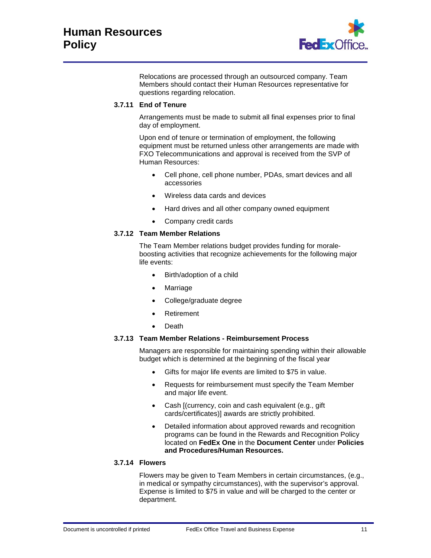

Relocations are processed through an outsourced company. Team Members should contact their Human Resources representative for questions regarding relocation.

#### **3.7.11 End of Tenure**

Arrangements must be made to submit all final expenses prior to final day of employment.

Upon end of tenure or termination of employment, the following equipment must be returned unless other arrangements are made with FXO Telecommunications and approval is received from the SVP of Human Resources:

- Cell phone, cell phone number, PDAs, smart devices and all accessories
- Wireless data cards and devices
- Hard drives and all other company owned equipment
- Company credit cards

#### **3.7.12 Team Member Relations**

The Team Member relations budget provides funding for moraleboosting activities that recognize achievements for the following major life events:

- Birth/adoption of a child
- **Marriage**
- College/graduate degree
- **Retirement**
- Death

#### **3.7.13 Team Member Relations - Reimbursement Process**

Managers are responsible for maintaining spending within their allowable budget which is determined at the beginning of the fiscal year

- Gifts for major life events are limited to \$75 in value.
- Requests for reimbursement must specify the Team Member and major life event.
- Cash (currency, coin and cash equivalent (e.g., gift) cards/certificates)] awards are strictly prohibited.
- Detailed information about approved rewards and recognition programs can be found in the Rewards and Recognition Policy located on **FedEx One** in the **Document Center** under **Policies and Procedures/Human Resources.**

#### **3.7.14 Flowers**

Flowers may be given to Team Members in certain circumstances, (e.g., in medical or sympathy circumstances), with the supervisor's approval. Expense is limited to \$75 in value and will be charged to the center or department.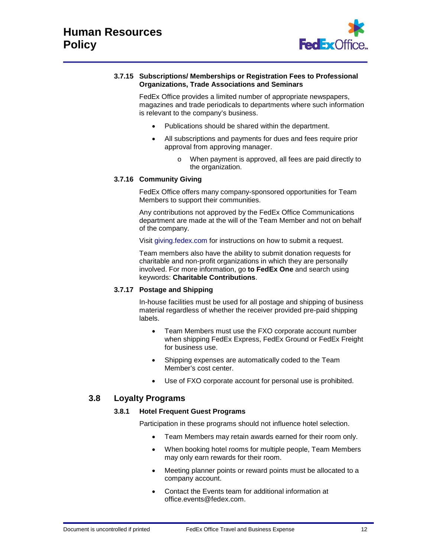

#### **3.7.15 Subscriptions/ Memberships or Registration Fees to Professional Organizations, Trade Associations and Seminars**

FedEx Office provides a limited number of appropriate newspapers, magazines and trade periodicals to departments where such information is relevant to the company's business.

- Publications should be shared within the department.
- All subscriptions and payments for dues and fees require prior approval from approving manager.
	- o When payment is approved, all fees are paid directly to the organization.

## **3.7.16 Community Giving**

FedEx Office offers many company-sponsored opportunities for Team Members to support their communities.

Any contributions not approved by the FedEx Office Communications department are made at the will of the Team Member and not on behalf of the company.

Visit [giving.fedex.com](http://giving.fedex.com/) for instructions on how to submit a request.

Team members also have the ability to submit donation requests for charitable and non-profit organizations in which they are personally involved. For more information, go **to FedEx One** and search using keywords: **Charitable Contributions**.

## **3.7.17 Postage and Shipping**

In-house facilities must be used for all postage and shipping of business material regardless of whether the receiver provided pre-paid shipping labels.

- Team Members must use the FXO corporate account number when shipping FedEx Express, FedEx Ground or FedEx Freight for business use.
- Shipping expenses are automatically coded to the Team Member's cost center.
- Use of FXO corporate account for personal use is prohibited.

## **3.8 Loyalty Programs**

## **3.8.1 Hotel Frequent Guest Programs**

Participation in these programs should not influence hotel selection.

- Team Members may retain awards earned for their room only.
- When booking hotel rooms for multiple people, Team Members may only earn rewards for their room.
- Meeting planner points or reward points must be allocated to a company account.
- Contact the Events team for additional information at [office.events@fedex.com.](mailto:office.events@fedex.com?subject=Hotel%20Frequent%20Guest%20Programs)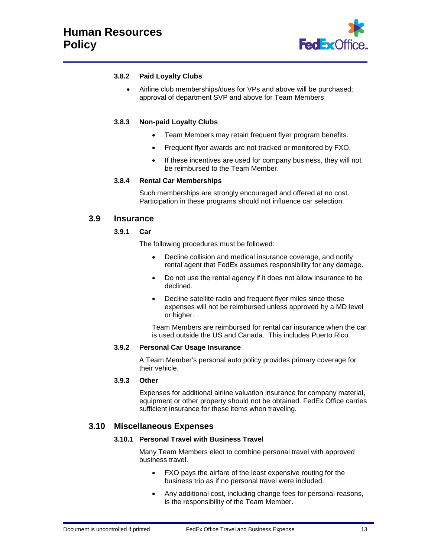

## **3.8.2 Paid Loyalty Clubs**

• Airline club memberships/dues for VPs and above will be purchased; approval of department SVP and above for Team Members

#### **3.8.3 Non-paid Loyalty Clubs**

- Team Members may retain frequent flyer program benefits.
- Frequent flyer awards are not tracked or monitored by FXO.
- If these incentives are used for company business, they will not be reimbursed to the Team Member.

#### **3.8.4 Rental Car Memberships**

Such memberships are strongly encouraged and offered at no cost. Participation in these programs should not influence car selection.

#### **3.9 Insurance**

#### **3.9.1 Car**

The following procedures must be followed:

- Decline collision and medical insurance coverage, and notify rental agent that FedEx assumes responsibility for any damage.
- Do not use the rental agency if it does not allow insurance to be declined.
- Decline satellite radio and frequent flyer miles since these expenses will not be reimbursed unless approved by a MD level or higher.

Team Members are reimbursed for rental car insurance when the car is used outside the US and Canada. This includes Puerto Rico.

#### **3.9.2 Personal Car Usage Insurance**

A Team Member's personal auto policy provides primary coverage for their vehicle.

#### **3.9.3 Other**

Expenses for additional airline valuation insurance for company material, equipment or other property should not be obtained. FedEx Office carries sufficient insurance for these items when traveling.

## **3.10 Miscellaneous Expenses**

#### **3.10.1 Personal Travel with Business Travel**

Many Team Members elect to combine personal travel with approved business travel.

- FXO pays the airfare of the least expensive routing for the business trip as if no personal travel were included.
- Any additional cost, including change fees for personal reasons, is the responsibility of the Team Member.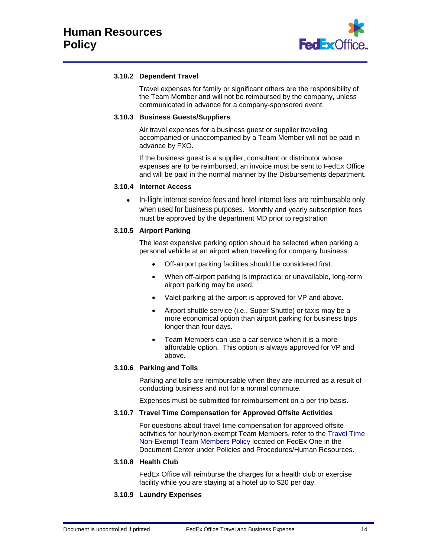

## **3.10.2 Dependent Travel**

Travel expenses for family or significant others are the responsibility of the Team Member and will not be reimbursed by the company, unless communicated in advance for a company-sponsored event.

#### **3.10.3 Business Guests/Suppliers**

Air travel expenses for a business guest or supplier traveling accompanied or unaccompanied by a Team Member will not be paid in advance by FXO.

If the business guest is a supplier, consultant or distributor whose expenses are to be reimbursed, an invoice must be sent to FedEx Office and will be paid in the normal manner by the Disbursements department.

## **3.10.4 Internet Access**

• In-flight internet service fees and hotel internet fees are reimbursable only when used for business purposes. Monthly and yearly subscription fees must be approved by the department MD prior to registration

## **3.10.5 Airport Parking**

The least expensive parking option should be selected when parking a personal vehicle at an airport when traveling for company business.

- Off-airport parking facilities should be considered first.
- When off-airport parking is impractical or unavailable, long-term airport parking may be used.
- Valet parking at the airport is approved for VP and above.
- Airport shuttle service (i.e., Super Shuttle) or taxis may be a more economical option than airport parking for business trips longer than four days.
- Team Members can use a car service when it is a more affordable option. This option is always approved for VP and above.

## **3.10.6 Parking and Tolls**

Parking and tolls are reimbursable when they are incurred as a result of conducting business and not for a normal commute.

Expenses must be submitted for reimbursement on a per trip basis.

#### **3.10.7 Travel Time Compensation for Approved Offsite Activities**

For questions about travel time compensation for approved offsite activities for hourly/non-exempt Team Members, refer to the [Travel Time](https://fxkportal.corp.kinkos.com/documentcenter/Policies%20and%20Procedures/Travel%20Time%20for%20Non-Exempt%20Team%20Members%20Policy.pdf)  [Non-Exempt Team Members Policy](https://fxkportal.corp.kinkos.com/documentcenter/Policies%20and%20Procedures/Travel%20Time%20for%20Non-Exempt%20Team%20Members%20Policy.pdf) located on FedEx One in the Document Center under Policies and Procedures/Human Resources.

#### **3.10.8 Health Club**

FedEx Office will reimburse the charges for a health club or exercise facility while you are staying at a hotel up to \$20 per day.

## **3.10.9 Laundry Expenses**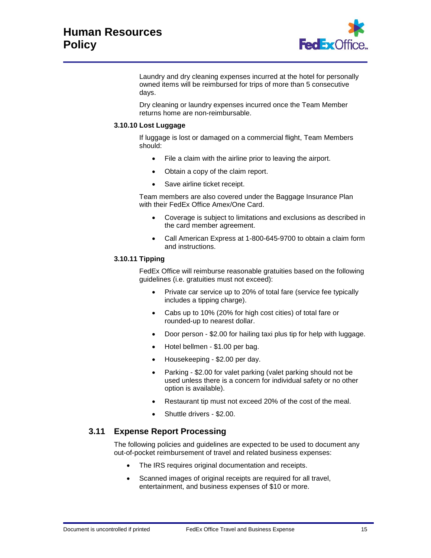

Laundry and dry cleaning expenses incurred at the hotel for personally owned items will be reimbursed for trips of more than 5 consecutive days.

Dry cleaning or laundry expenses incurred once the Team Member returns home are non-reimbursable.

#### **3.10.10 Lost Luggage**

If luggage is lost or damaged on a commercial flight, Team Members should:

- File a claim with the airline prior to leaving the airport.
- Obtain a copy of the claim report.
- Save airline ticket receipt.

Team members are also covered under the Baggage Insurance Plan with their FedEx Office Amex/One Card.

- Coverage is subject to limitations and exclusions as described in the card member agreement.
- Call American Express at 1-800-645-9700 to obtain a claim form and instructions.

#### **3.10.11 Tipping**

FedEx Office will reimburse reasonable gratuities based on the following guidelines (i.e. gratuities must not exceed):

- Private car service up to 20% of total fare (service fee typically includes a tipping charge).
- Cabs up to 10% (20% for high cost cities) of total fare or rounded-up to nearest dollar.
- Door person \$2.00 for hailing taxi plus tip for help with luggage.
- Hotel bellmen \$1.00 per bag.
- Housekeeping \$2.00 per day.
- Parking \$2.00 for valet parking (valet parking should not be used unless there is a concern for individual safety or no other option is available).
- Restaurant tip must not exceed 20% of the cost of the meal.
- Shuttle drivers \$2.00.

## **3.11 Expense Report Processing**

The following policies and guidelines are expected to be used to document any out-of-pocket reimbursement of travel and related business expenses:

- The IRS requires original documentation and receipts.
- Scanned images of original receipts are required for all travel, entertainment, and business expenses of \$10 or more.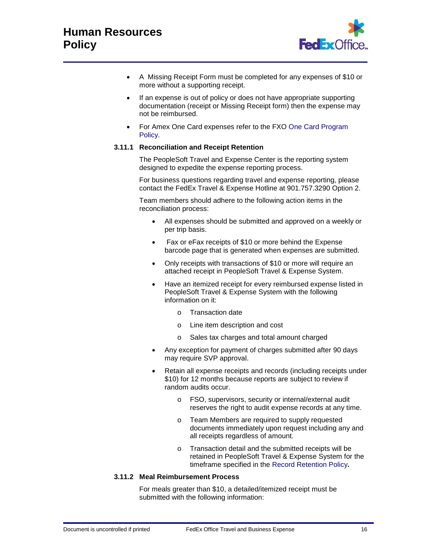

- A Missing Receipt Form must be completed for any expenses of \$10 or more without a supporting receipt.
- If an expense is out of policy or does not have appropriate supporting documentation (receipt or Missing Receipt form) then the expense may not be reimbursed.
- For Amex One Card expenses refer to the FXO [One Card Program](https://fxkportal.corp.kinkos.com/documentcenter/Policies%20and%20Procedures/FedEx%20Office%20One%20Card%20Program%20Policy.pdf)  [Policy.](https://fxkportal.corp.kinkos.com/documentcenter/Policies%20and%20Procedures/FedEx%20Office%20One%20Card%20Program%20Policy.pdf)

#### **3.11.1 Reconciliation and Receipt Retention**

The PeopleSoft Travel and Expense Center is the reporting system designed to expedite the expense reporting process.

For business questions regarding travel and expense reporting, please contact the FedEx Travel & Expense Hotline at 901.757.3290 Option 2.

Team members should adhere to the following action items in the reconciliation process:

- All expenses should be submitted and approved on a weekly or per trip basis.
- Fax or eFax receipts of \$10 or more behind the Expense barcode page that is generated when expenses are submitted.
- Only receipts with transactions of \$10 or more will require an attached receipt in PeopleSoft Travel & Expense System.
- Have an itemized receipt for every reimbursed expense listed in PeopleSoft Travel & Expense System with the following information on it:
	- o Transaction date
	- o Line item description and cost
	- o Sales tax charges and total amount charged
- Any exception for payment of charges submitted after 90 days may require SVP approval.
- Retain all expense receipts and records (including receipts under \$10) for 12 months because reports are subject to review if random audits occur.
	- FSO, supervisors, security or internal/external audit reserves the right to audit expense records at any time.
	- o Team Members are required to supply requested documents immediately upon request including any and all receipts regardless of amount.
	- o Transaction detail and the submitted receipts will be retained in PeopleSoft Travel & Expense System for the timeframe specified in the [Record Retention Policy](https://fxkportal.corp.kinkos.com/documentcenter/Policies%20and%20Procedures/Records%20Retention%20Policy.pdf)**.**

## **3.11.2 Meal Reimbursement Process**

For meals greater than \$10, a detailed/itemized receipt must be submitted with the following information: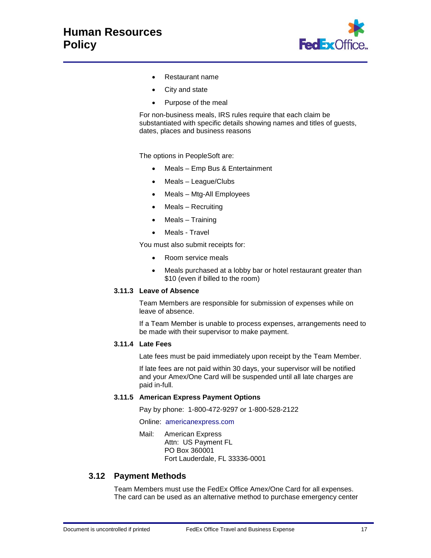

- Restaurant name
- City and state
- Purpose of the meal

For non-business meals, IRS rules require that each claim be substantiated with specific details showing names and titles of guests, dates, places and business reasons

The options in PeopleSoft are:

- Meals Emp Bus & Entertainment
- Meals League/Clubs
- Meals Mtg-All Employees
- Meals Recruiting
- Meals Training
- Meals Travel

You must also submit receipts for:

- Room service meals
- Meals purchased at a lobby bar or hotel restaurant greater than \$10 (even if billed to the room)

## **3.11.3 Leave of Absence**

Team Members are responsible for submission of expenses while on leave of absence.

If a Team Member is unable to process expenses, arrangements need to be made with their supervisor to make payment.

#### **3.11.4 Late Fees**

Late fees must be paid immediately upon receipt by the Team Member.

If late fees are not paid within 30 days, your supervisor will be notified and your Amex/One Card will be suspended until all late charges are paid in-full.

#### **3.11.5 American Express Payment Options**

Pay by phone: 1-800-472-9297 or 1-800-528-2122

Online: [americanexpress.com](http://www.americanexpress.com/)

Mail: American Express Attn: US Payment FL PO Box 360001 Fort Lauderdale, FL 33336-0001

## **3.12 Payment Methods**

Team Members must use the FedEx Office Amex/One Card for all expenses. The card can be used as an alternative method to purchase emergency center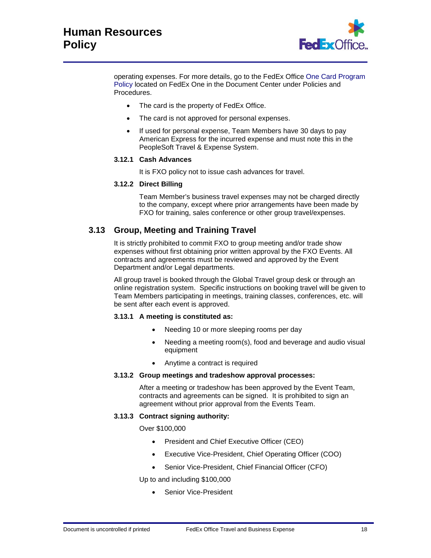

operating expenses. For more details, go to the FedEx Office [One Card Program](https://fxkportal.corp.kinkos.com/documentcenter/Policies%20and%20Procedures/FedEx%20Office%20One%20Card%20Program%20Policy.pdf)  [Policy](https://fxkportal.corp.kinkos.com/documentcenter/Policies%20and%20Procedures/FedEx%20Office%20One%20Card%20Program%20Policy.pdf) located on FedEx One in the Document Center under Policies and Procedures.

- The card is the property of FedEx Office.
- The card is not approved for personal expenses.
- If used for personal expense, Team Members have 30 days to pay American Express for the incurred expense and must note this in the PeopleSoft Travel & Expense System.

#### **3.12.1 Cash Advances**

It is FXO policy not to issue cash advances for travel.

#### **3.12.2 Direct Billing**

Team Member's business travel expenses may not be charged directly to the company, except where prior arrangements have been made by FXO for training, sales conference or other group travel/expenses.

## **3.13 Group, Meeting and Training Travel**

It is strictly prohibited to commit FXO to group meeting and/or trade show expenses without first obtaining prior written approval by the FXO Events. All contracts and agreements must be reviewed and approved by the Event Department and/or Legal departments.

All group travel is booked through the Global Travel group desk or through an online registration system. Specific instructions on booking travel will be given to Team Members participating in meetings, training classes, conferences, etc. will be sent after each event is approved.

#### **3.13.1 A meeting is constituted as:**

- Needing 10 or more sleeping rooms per day
- Needing a meeting room(s), food and beverage and audio visual equipment
- Anytime a contract is required

#### **3.13.2 Group meetings and tradeshow approval processes:**

After a meeting or tradeshow has been approved by the Event Team, contracts and agreements can be signed. It is prohibited to sign an agreement without prior approval from the Events Team.

#### **3.13.3 Contract signing authority:**

Over \$100,000

- President and Chief Executive Officer (CEO)
- Executive Vice-President, Chief Operating Officer (COO)
- Senior Vice-President, Chief Financial Officer (CFO)

Up to and including \$100,000

Senior Vice-President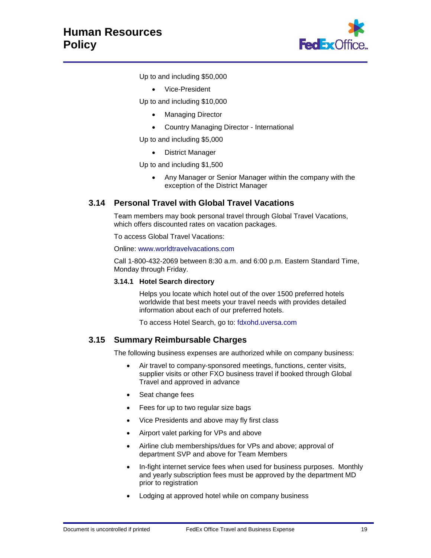

Up to and including \$50,000

• Vice-President

Up to and including \$10,000

- Managing Director
- Country Managing Director International

Up to and including \$5,000

• District Manager

Up to and including \$1,500

• Any Manager or Senior Manager within the company with the exception of the District Manager

# **3.14 Personal Travel with Global Travel Vacations**

Team members may book personal travel through Global Travel Vacations, which offers discounted rates on vacation packages.

To access Global Travel Vacations:

Online: [www.worldtravelvacations.com](https://www.worldtravelvacations.com/)

Call 1-800-432-2069 between 8:30 a.m. and 6:00 p.m. Eastern Standard Time, Monday through Friday.

#### **3.14.1 Hotel Search directory**

Helps you locate which hotel out of the over 1500 preferred hotels worldwide that best meets your travel needs with provides detailed information about each of our preferred hotels.

To access Hotel Search, go to: [fdxohd.uversa.com](http://fdxohd.uversa.com/)

## **3.15 Summary Reimbursable Charges**

The following business expenses are authorized while on company business:

- Air travel to company-sponsored meetings, functions, center visits, supplier visits or other FXO business travel if booked through Global Travel and approved in advance
- Seat change fees
- Fees for up to two regular size bags
- Vice Presidents and above may fly first class
- Airport valet parking for VPs and above
- Airline club memberships/dues for VPs and above; approval of department SVP and above for Team Members
- In-fight internet service fees when used for business purposes. Monthly and yearly subscription fees must be approved by the department MD prior to registration
- Lodging at approved hotel while on company business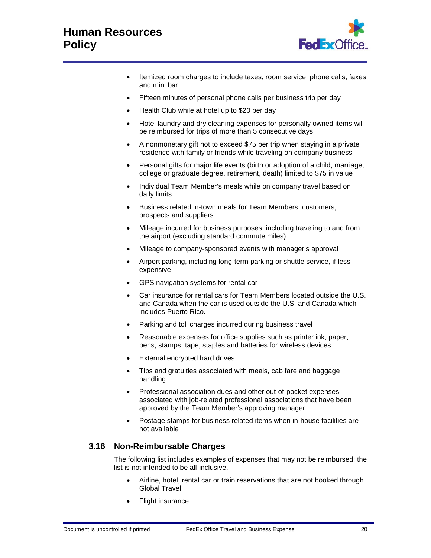# **Human Resources Policy**



- Itemized room charges to include taxes, room service, phone calls, faxes and mini bar
- Fifteen minutes of personal phone calls per business trip per day
- Health Club while at hotel up to \$20 per day
- Hotel laundry and dry cleaning expenses for personally owned items will be reimbursed for trips of more than 5 consecutive days
- A nonmonetary gift not to exceed \$75 per trip when staying in a private residence with family or friends while traveling on company business
- Personal gifts for major life events (birth or adoption of a child, marriage, college or graduate degree, retirement, death) limited to \$75 in value
- Individual Team Member's meals while on company travel based on daily limits
- Business related in-town meals for Team Members, customers, prospects and suppliers
- Mileage incurred for business purposes, including traveling to and from the airport (excluding standard commute miles)
- Mileage to company-sponsored events with manager's approval
- Airport parking, including long-term parking or shuttle service, if less expensive
- GPS navigation systems for rental car
- Car insurance for rental cars for Team Members located outside the U.S. and Canada when the car is used outside the U.S. and Canada which includes Puerto Rico.
- Parking and toll charges incurred during business travel
- Reasonable expenses for office supplies such as printer ink, paper, pens, stamps, tape, staples and batteries for wireless devices
- External encrypted hard drives
- Tips and gratuities associated with meals, cab fare and baggage handling
- Professional association dues and other out-of-pocket expenses associated with job-related professional associations that have been approved by the Team Member's approving manager
- Postage stamps for business related items when in-house facilities are not available

## **3.16 Non-Reimbursable Charges**

The following list includes examples of expenses that may not be reimbursed; the list is not intended to be all-inclusive.

- Airline, hotel, rental car or train reservations that are not booked through Global Travel
- Flight insurance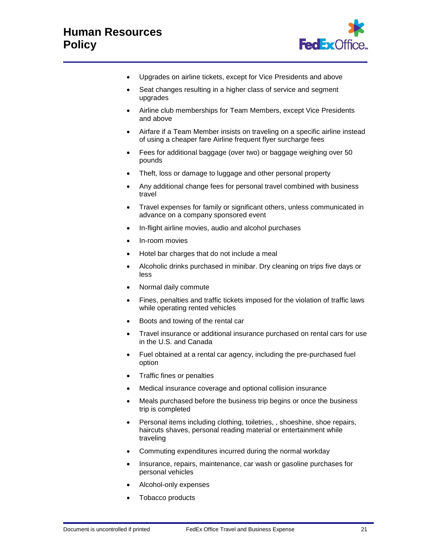

- Upgrades on airline tickets, except for Vice Presidents and above
- Seat changes resulting in a higher class of service and segment upgrades
- Airline club memberships for Team Members, except Vice Presidents and above
- Airfare if a Team Member insists on traveling on a specific airline instead of using a cheaper fare Airline frequent flyer surcharge fees
- Fees for additional baggage (over two) or baggage weighing over 50 pounds
- Theft, loss or damage to luggage and other personal property
- Any additional change fees for personal travel combined with business travel
- Travel expenses for family or significant others, unless communicated in advance on a company sponsored event
- In-flight airline movies, audio and alcohol purchases
- In-room movies
- Hotel bar charges that do not include a meal
- Alcoholic drinks purchased in minibar. Dry cleaning on trips five days or less
- Normal daily commute
- Fines, penalties and traffic tickets imposed for the violation of traffic laws while operating rented vehicles
- Boots and towing of the rental car
- Travel insurance or additional insurance purchased on rental cars for use in the U.S. and Canada
- Fuel obtained at a rental car agency, including the pre-purchased fuel option
- Traffic fines or penalties
- Medical insurance coverage and optional collision insurance
- Meals purchased before the business trip begins or once the business trip is completed
- Personal items including clothing, toiletries, , shoeshine, shoe repairs, haircuts shaves, personal reading material or entertainment while traveling
- Commuting expenditures incurred during the normal workday
- Insurance, repairs, maintenance, car wash or gasoline purchases for personal vehicles
- Alcohol-only expenses
- Tobacco products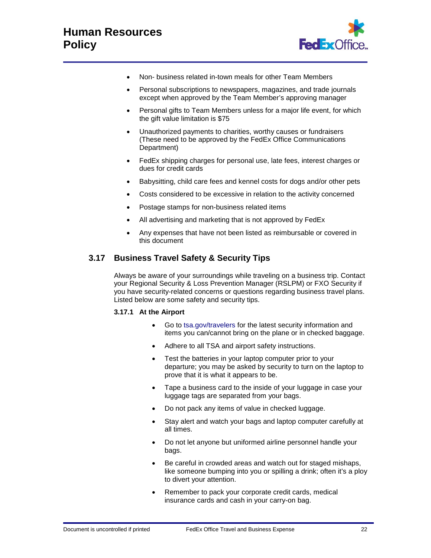

- Non- business related in-town meals for other Team Members
- Personal subscriptions to newspapers, magazines, and trade journals except when approved by the Team Member's approving manager
- Personal gifts to Team Members unless for a major life event, for which the gift value limitation is \$75
- Unauthorized payments to charities, worthy causes or fundraisers (These need to be approved by the FedEx Office Communications Department)
- FedEx shipping charges for personal use, late fees, interest charges or dues for credit cards
- Babysitting, child care fees and kennel costs for dogs and/or other pets
- Costs considered to be excessive in relation to the activity concerned
- Postage stamps for non-business related items
- All advertising and marketing that is not approved by FedEx
- Any expenses that have not been listed as reimbursable or covered in this document

## **3.17 Business Travel Safety & Security Tips**

Always be aware of your surroundings while traveling on a business trip. Contact your Regional Security & Loss Prevention Manager (RSLPM) or FXO Security if you have security-related concerns or questions regarding business travel plans. Listed below are some safety and security tips.

#### **3.17.1 At the Airport**

- Go to [tsa.gov/travelers](http://www.tsa.gov/travelers) for the latest security information and items you can/cannot bring on the plane or in checked baggage.
- Adhere to all TSA and airport safety instructions.
- Test the batteries in your laptop computer prior to your departure; you may be asked by security to turn on the laptop to prove that it is what it appears to be.
- Tape a business card to the inside of your luggage in case your luggage tags are separated from your bags.
- Do not pack any items of value in checked luggage.
- Stay alert and watch your bags and laptop computer carefully at all times.
- Do not let anyone but uniformed airline personnel handle your bags.
- Be careful in crowded areas and watch out for staged mishaps, like someone bumping into you or spilling a drink; often it's a ploy to divert your attention.
- Remember to pack your corporate credit cards, medical insurance cards and cash in your carry-on bag.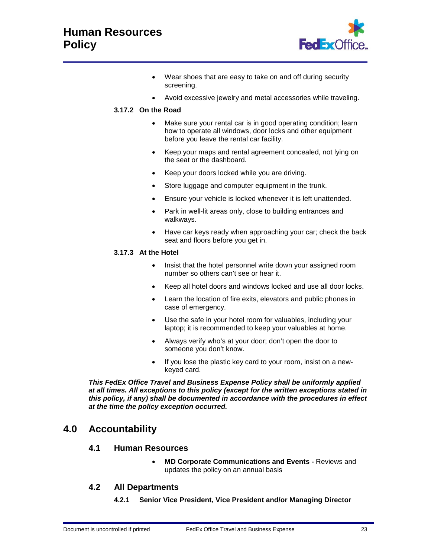

- Wear shoes that are easy to take on and off during security screening.
- Avoid excessive jewelry and metal accessories while traveling.

## **3.17.2 On the Road**

- Make sure your rental car is in good operating condition; learn how to operate all windows, door locks and other equipment before you leave the rental car facility.
- Keep your maps and rental agreement concealed, not lying on the seat or the dashboard.
- Keep your doors locked while you are driving.
- Store luggage and computer equipment in the trunk.
- Ensure your vehicle is locked whenever it is left unattended.
- Park in well-lit areas only, close to building entrances and walkways.
- Have car keys ready when approaching your car; check the back seat and floors before you get in.

## **3.17.3 At the Hotel**

- Insist that the hotel personnel write down your assigned room number so others can't see or hear it.
- Keep all hotel doors and windows locked and use all door locks.
- Learn the location of fire exits, elevators and public phones in case of emergency.
- Use the safe in your hotel room for valuables, including your laptop; it is recommended to keep your valuables at home.
- Always verify who's at your door; don't open the door to someone you don't know.
- If you lose the plastic key card to your room, insist on a newkeyed card.

*This FedEx Office Travel and Business Expense Policy shall be uniformly applied at all times. All exceptions to this policy (except for the written exceptions stated in this policy, if any) shall be documented in accordance with the procedures in effect at the time the policy exception occurred.*

# **4.0 Accountability**

## **4.1 Human Resources**

• **MD Corporate Communications and Events -** Reviews and updates the policy on an annual basis

## **4.2 All Departments**

**4.2.1 Senior Vice President, Vice President and/or Managing Director**